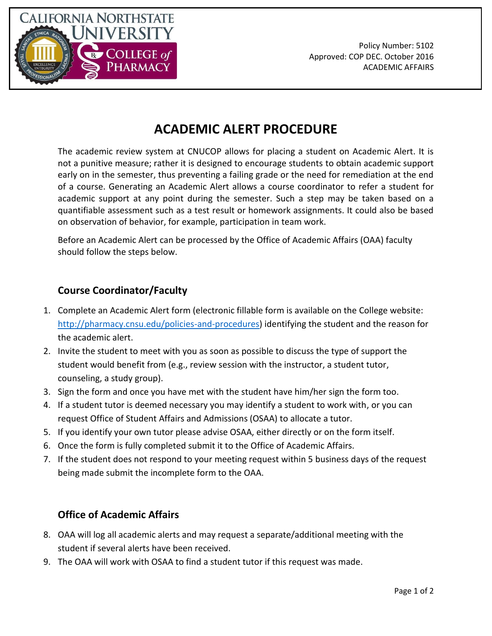

## **ACADEMIC ALERT PROCEDURE**

The academic review system at CNUCOP allows for placing a student on Academic Alert. It is not a punitive measure; rather it is designed to encourage students to obtain academic support early on in the semester, thus preventing a failing grade or the need for remediation at the end of a course. Generating an Academic Alert allows a course coordinator to refer a student for academic support at any point during the semester. Such a step may be taken based on a quantifiable assessment such as a test result or homework assignments. It could also be based on observation of behavior, for example, participation in team work.

Before an Academic Alert can be processed by the Office of Academic Affairs (OAA) faculty should follow the steps below.

## **Course Coordinator/Faculty**

- 1. Complete an Academic Alert form (electronic fillable form is available on the College website: [http://pharmacy.cnsu.edu/policies-and-procedures\)](http://pharmacy.cnsu.edu/policies-and-procedures) identifying the student and the reason for the academic alert.
- 2. Invite the student to meet with you as soon as possible to discuss the type of support the student would benefit from (e.g., review session with the instructor, a student tutor, counseling, a study group).
- 3. Sign the form and once you have met with the student have him/her sign the form too.
- 4. If a student tutor is deemed necessary you may identify a student to work with, or you can request Office of Student Affairs and Admissions (OSAA) to allocate a tutor.
- 5. If you identify your own tutor please advise OSAA, either directly or on the form itself.
- 6. Once the form is fully completed submit it to the Office of Academic Affairs.
- 7. If the student does not respond to your meeting request within 5 business days of the request being made submit the incomplete form to the OAA.

## **Office of Academic Affairs**

- 8. OAA will log all academic alerts and may request a separate/additional meeting with the student if several alerts have been received.
- 9. The OAA will work with OSAA to find a student tutor if this request was made.